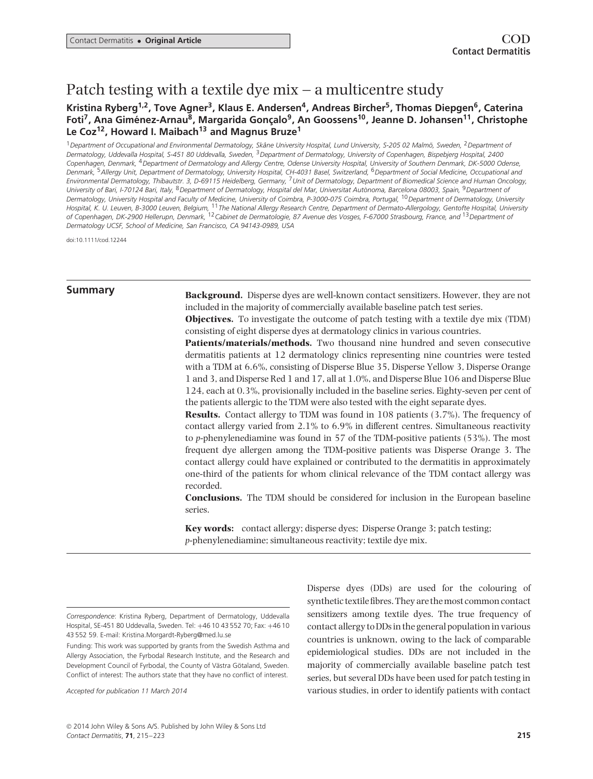# Patch testing with a textile dye mix – a multicentre study

# Kristina Ryberg<sup>1,2</sup>, Tove Agner<sup>3</sup>, Klaus E. Andersen<sup>4</sup>, Andreas Bircher<sup>5</sup>, Thomas Diepgen<sup>6</sup>, Caterina Foti<sup>7</sup>, Ana Giménez-Arnau<sup>8</sup>, Margarida Gonçalo<sup>9</sup>, An Goossens<sup>10</sup>, Jeanne D. Johansen<sup>11</sup>, Christophe **Le Coz12, Howard I. Maibach13 and Magnus Bruze1**

<sup>1</sup>*Department of Occupational and Environmental Dermatology, Skane University Hospital, Lund University, S-205 02 Malm ˚ o, Sweden, ¨* <sup>2</sup>*Department of Dermatology, Uddevalla Hospital, S-451 80 Uddevalla, Sweden,* <sup>3</sup>*Department of Dermatology, University of Copenhagen, Bispebjerg Hospital, 2400 Copenhagen, Denmark,* <sup>4</sup>*Department of Dermatology and Allergy Centre, Odense University Hospital, University of Southern Denmark, DK-5000 Odense, Denmark,* <sup>5</sup>*Allergy Unit, Department of Dermatology, University Hospital, CH-4031 Basel, Switzerland,* <sup>6</sup>*Department of Social Medicine, Occupational and Environmental Dermatology, Thibautstr. 3, D-69115 Heidelberg, Germany,* <sup>7</sup>*Unit of Dermatology, Department of Biomedical Science and Human Oncology, University of Bari, I-70124 Bari, Italy,* <sup>8</sup>*Department of Dermatology, Hospital del Mar, Universitat Autonoma, Barcelona 08003, Spain, `* <sup>9</sup>*Department of Dermatology, University Hospital and Faculty of Medicine, University of Coimbra, P-3000-075 Coimbra, Portugal,* <sup>10</sup>*Department of Dermatology, University Hospital, K. U. Leuven, B-3000 Leuven, Belgium,* <sup>11</sup>*The National Allergy Research Centre, Department of Dermato-Allergology, Gentofte Hospital, University of Copenhagen, DK-2900 Hellerupn, Denmark,* <sup>12</sup>*Cabinet de Dermatologie, 87 Avenue des Vosges, F-67000 Strasbourg, France, and* <sup>13</sup>*Department of Dermatology UCSF, School of Medicine, San Francisco, CA 94143-0989, USA*

doi:10.1111/cod.12244

**Summary Background.** Disperse dyes are well-known contact sensitizers. However, they are not included in the majority of commercially available baseline patch test series.

**Objectives.** To investigate the outcome of patch testing with a textile dye mix (TDM) consisting of eight disperse dyes at dermatology clinics in various countries.

**Patients/materials/methods.** Two thousand nine hundred and seven consecutive dermatitis patients at 12 dermatology clinics representing nine countries were tested with a TDM at 6.6%, consisting of Disperse Blue 35, Disperse Yellow 3, Disperse Orange 1 and 3, and Disperse Red 1 and 17, all at 1.0%, and Disperse Blue 106 and Disperse Blue 124, each at 0.3%, provisionally included in the baseline series. Eighty-seven per cent of the patients allergic to the TDM were also tested with the eight separate dyes.

**Results.** Contact allergy to TDM was found in 108 patients (3.7%). The frequency of contact allergy varied from 2.1% to 6.9% in different centres. Simultaneous reactivity to *p*-phenylenediamine was found in 57 of the TDM-positive patients (53%). The most frequent dye allergen among the TDM-positive patients was Disperse Orange 3. The contact allergy could have explained or contributed to the dermatitis in approximately one-third of the patients for whom clinical relevance of the TDM contact allergy was recorded.

**Conclusions.** The TDM should be considered for inclusion in the European baseline series.

**Key words:** contact allergy; disperse dyes; Disperse Orange 3; patch testing; *p*-phenylenediamine; simultaneous reactivity; textile dye mix.

*Accepted for publication 11 March 2014*

Disperse dyes (DDs) are used for the colouring of synthetic textile fibres. They are the most common contact sensitizers among textile dyes. The true frequency of contact allergy to DDs in the general population in various countries is unknown, owing to the lack of comparable epidemiological studies. DDs are not included in the majority of commercially available baseline patch test series, but several DDs have been used for patch testing in various studies, in order to identify patients with contact

*Correspondence*: Kristina Ryberg, Department of Dermatology, Uddevalla Hospital, SE-451 80 Uddevalla, Sweden. Tel: +46 10 43 552 70; Fax: +46 10 43 552 59. E-mail: Kristina.Morgardt-Ryberg@med.lu.se

Funding: This work was supported by grants from the Swedish Asthma and Allergy Association, the Fyrbodal Research Institute, and the Research and Development Council of Fyrbodal, the County of Västra Götaland, Sweden. Conflict of interest: The authors state that they have no conflict of interest.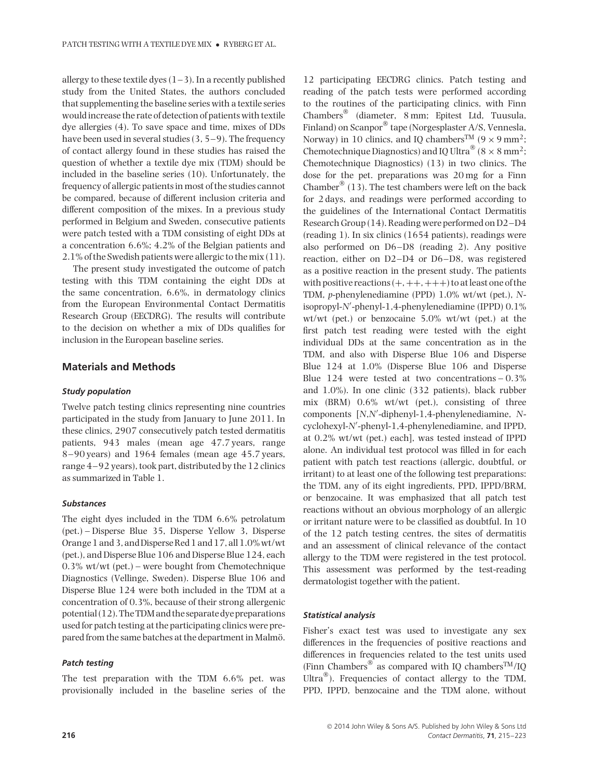allergy to these textile dyes  $(1-3)$ . In a recently published study from the United States, the authors concluded that supplementing the baseline series with a textile series would increase the rate of detection of patients with textile dye allergies (4). To save space and time, mixes of DDs have been used in several studies (3, 5–9). The frequency of contact allergy found in these studies has raised the question of whether a textile dye mix (TDM) should be included in the baseline series (10). Unfortunately, the frequency of allergic patients in most of the studies cannot be compared, because of different inclusion criteria and different composition of the mixes. In a previous study performed in Belgium and Sweden, consecutive patients were patch tested with a TDM consisting of eight DDs at a concentration 6.6%; 4.2% of the Belgian patients and 2.1% of the Swedish patients were allergic to the mix (11).

The present study investigated the outcome of patch testing with this TDM containing the eight DDs at the same concentration, 6.6%, in dermatology clinics from the European Environmental Contact Dermatitis Research Group (EECDRG). The results will contribute to the decision on whether a mix of DDs qualifies for inclusion in the European baseline series.

## **Materials and Methods**

#### *Study population*

Twelve patch testing clinics representing nine countries participated in the study from January to June 2011. In these clinics, 2907 consecutively patch tested dermatitis patients, 943 males (mean age 47.7 years, range 8–90 years) and 1964 females (mean age 45.7 years, range 4–92 years), took part, distributed by the 12 clinics as summarized in Table 1.

### *Substances*

The eight dyes included in the TDM 6.6% petrolatum (pet.) – Disperse Blue 35, Disperse Yellow 3, Disperse Orange 1 and 3, and Disperse Red 1 and 17, all 1.0% wt/wt (pet.), and Disperse Blue 106 and Disperse Blue 124, each 0.3% wt/wt (pet.) – were bought from Chemotechnique Diagnostics (Vellinge, Sweden). Disperse Blue 106 and Disperse Blue 124 were both included in the TDM at a concentration of 0.3%, because of their strong allergenic potential (12). The TDM and the separate dye preparations used for patch testing at the participating clinics were prepared from the same batches at the department in Malmö.

#### *Patch testing*

The test preparation with the TDM 6.6% pet. was provisionally included in the baseline series of the

12 participating EECDRG clinics. Patch testing and reading of the patch tests were performed according to the routines of the participating clinics, with Finn Chambers® (diameter, 8 mm; Epitest Ltd, Tuusula, Finland) on Scanpor® tape (Norgesplaster A/S, Vennesla, Norway) in 10 clinics, and IQ chambers<sup>TM</sup> ( $9 \times 9$  mm<sup>2</sup>; Chemotechnique Diagnostics) and IO Ultra<sup>®</sup> (8  $\times$  8 mm<sup>2</sup>; Chemotechnique Diagnostics) (13) in two clinics. The dose for the pet. preparations was 20 mg for a Finn Chamber<sup>®</sup> (13). The test chambers were left on the back for 2 days, and readings were performed according to the guidelines of the International Contact Dermatitis Research Group (14). Reading were performed on D2–D4 (reading 1). In six clinics (1654 patients), readings were also performed on D6–D8 (reading 2). Any positive reaction, either on D2–D4 or D6–D8, was registered as a positive reaction in the present study. The patients with positive reactions  $(+, ++, +++)$  to at least one of the TDM, *p*-phenylenediamine (PPD) 1.0% wt/wt (pet.), *N*isopropyl-*N*- -phenyl-1,4-phenylenediamine (IPPD) 0.1% wt/wt (pet.) or benzocaine 5.0% wt/wt (pet.) at the first patch test reading were tested with the eight individual DDs at the same concentration as in the TDM, and also with Disperse Blue 106 and Disperse Blue 124 at 1.0% (Disperse Blue 106 and Disperse Blue  $124$  were tested at two concentrations  $-0.3\%$ and 1.0%). In one clinic (332 patients), black rubber mix (BRM) 0.6% wt/wt (pet.), consisting of three components [N,N'-diphenyl-1,4-phenylenediamine, Ncyclohexyl-N'-phenyl-1,4-phenylenediamine, and IPPD, at 0.2% wt/wt (pet.) each], was tested instead of IPPD alone. An individual test protocol was filled in for each patient with patch test reactions (allergic, doubtful, or irritant) to at least one of the following test preparations: the TDM, any of its eight ingredients, PPD, IPPD/BRM, or benzocaine. It was emphasized that all patch test reactions without an obvious morphology of an allergic or irritant nature were to be classified as doubtful. In 10 of the 12 patch testing centres, the sites of dermatitis and an assessment of clinical relevance of the contact allergy to the TDM were registered in the test protocol. This assessment was performed by the test-reading dermatologist together with the patient.

#### *Statistical analysis*

Fisher's exact test was used to investigate any sex differences in the frequencies of positive reactions and differences in frequencies related to the test units used (Finn Chambers<sup>®</sup> as compared with IQ chambers<sup>TM</sup>/IQ Ultra®). Frequencies of contact allergy to the TDM, PPD, IPPD, benzocaine and the TDM alone, without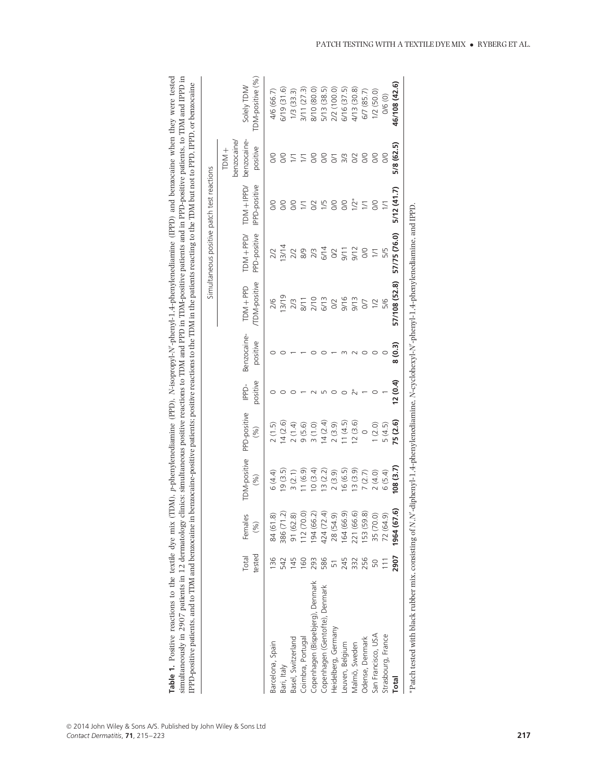|                                                                                                                                              |            |                                       |                     |              |          |             |                      |                  | Simultaneous positive patch test reactions |                                          |                 |
|----------------------------------------------------------------------------------------------------------------------------------------------|------------|---------------------------------------|---------------------|--------------|----------|-------------|----------------------|------------------|--------------------------------------------|------------------------------------------|-----------------|
|                                                                                                                                              | Total      | Females                               | <b>TDM-positive</b> | PPD-positive | IPPD-    | Benzocaine- | TDM+PPD              | $TDM + PPD$      | $TDM + IPPD$                               | benzocaine-<br>benzocaine/<br>$+$ NO $+$ | Solely TDM/     |
|                                                                                                                                              | tested     | $(\%)$                                | (%)                 | (%)          | positive | positive    | <b>/TDM-positive</b> | PPD-positive     | IPPD-positive                              | positive                                 | TDM-positive (% |
| Barcelona, Spain                                                                                                                             | 136        | ၜ<br>84 (61                           | 6(4.4)              | 2(1.5)       |          |             | 2/6                  |                  |                                            |                                          | 4/6 (66.7)      |
| Bari, Italy                                                                                                                                  |            | 386 (71                               | 19(3.5)             | 14(2.6)      |          |             | 13/19                | 13/14            |                                            |                                          | 6/19 (31.6)     |
| Basel, Switzerland                                                                                                                           |            | $\widehat{\infty}$<br>91 (62.         | 3(2.1)              | 2(1.4)       |          |             | 2/3                  |                  | $\infty$                                   |                                          | $1/3$ (33.3)    |
| Coimbra, Portugal                                                                                                                            | <u>091</u> | 12(70.0)                              | 1(6.9)              | 9(5.6)       |          |             |                      |                  |                                            | $\geq$                                   | 3/11(27.3)      |
| Copenhagen (Bispebjerg), Denmark                                                                                                             | 293        | $\tilde{\mathcal{L}}$<br>194 (66      | 10(3.4)             | 3(1.0)       |          |             | $\frac{211}{270}$    |                  | $\Im$                                      | O/O                                      | 8/10 (80.0)     |
| Copenhagen (Gentofte), Denmark                                                                                                               | 586        | Ā<br>424 (72                          | 13(2.2)             | 14(2.4)      |          |             |                      |                  | 1/5                                        | S                                        | 5/13 (38.5)     |
| Heidelberg, Germany                                                                                                                          |            | 28 (54.9)                             | 2(3.9)              | 2(3.9)       |          |             |                      |                  | $\infty$                                   | $\overline{S}$                           | 2/2 (100.0      |
| Leuven, Belgium                                                                                                                              | 245        | $\widehat{\sigma}$<br>164 (66         | 16(6.5)             | 11(4.5)      |          |             | 9/16                 |                  | $\infty$                                   | 3/3                                      | 6/16 (37.5)     |
| Malmö, Sweden                                                                                                                                | 332        | $\odot$<br>221 (66                    | 13(3.9)             | 12(3.6)      |          |             | 9/13                 | 9/12             | $1/2*$                                     | $\rm O2$                                 | 4/13 (30.8)     |
| Odense, Denmark                                                                                                                              | 256        | $\widehat{\infty}$<br><b>153 (59)</b> | 7(2.7)              | $\circ$      |          |             | $\overline{C}$       | O/O              | 1/1                                        | $\infty$                                 | 6/7 (85.7)      |
| San Francisco, USA                                                                                                                           |            | 35 (70.0)                             | 2(4.0)              | 1(2.0)       |          |             | 1/2                  | $\overline{1/1}$ | $\infty$                                   | S                                        | $1/2$ (50.0)    |
| Strasbourg, France                                                                                                                           |            | 72 (64.9)                             | 6(5.4)              | 5(4.5)       |          |             | 5/6                  | 5/5              |                                            | $\infty$                                 | 0/6 (0)         |
| Total                                                                                                                                        | 2907       | <u>့</u><br>1964 (67                  | (3.7)               | 75 (2.6)     | (0.4)    | 8(0.3)      | 57/108 (52.8)        | 57/75 (76.0)     | 5/12(41.7)                                 | 5/8 (62.5)                               | 46/108 (42.6)   |
| *Patch tested with black rubber mix, consisting of N,N'-diphenyl-1,4-phenylenediamine, N-cyclohexyl-N'-phenyl-1,4-phenylenediamine, and IPPD |            |                                       |                     |              |          |             |                      |                  |                                            |                                          |                 |

| <b>PetP</b>                                                              |                                             |                              |
|--------------------------------------------------------------------------|---------------------------------------------|------------------------------|
| ں W V°                                                                   |                                             |                              |
|                                                                          | "ive patients to TIM and i-                 |                              |
| e when t                                                                 |                                             | n mm <sub>or</sub>           |
|                                                                          |                                             |                              |
|                                                                          |                                             |                              |
|                                                                          |                                             | $M$ $\sim$ $+$ $\sim$ $\sim$ |
| "PPD) and be                                                             |                                             |                              |
|                                                                          |                                             |                              |
| i control                                                                | $\cdots$ and $\cdots$ and in PPD-nositive . | $+$                          |
|                                                                          |                                             |                              |
|                                                                          |                                             |                              |
| Í                                                                        |                                             | $M$ in the na                |
|                                                                          | I PPD in T                                  |                              |
| $\mathbf{r}$ + $\mathbf{r}$ + $\mathbf{r}$ + $\mathbf{r}$ + $\mathbf{r}$ |                                             |                              |
|                                                                          | M an                                        |                              |
|                                                                          |                                             |                              |
| ŕ,                                                                       | entions to TD                               |                              |
| i                                                                        |                                             |                              |
|                                                                          |                                             |                              |
|                                                                          |                                             |                              |
|                                                                          |                                             |                              |
| $\overline{1}$                                                           |                                             |                              |
|                                                                          | $\sim$ climics $\sim$                       |                              |
|                                                                          |                                             |                              |
| le dve mıx                                                               | l                                           |                              |
| Fost <sub>1</sub>                                                        |                                             |                              |
|                                                                          | int                                         | DM se                        |
|                                                                          |                                             | ۴<br>ڊ                       |
|                                                                          | $\cdots$ and $\overline{7}$ and $\cdots$    | ؟<br>ت<br>i                  |
|                                                                          | $\cdots$                                    |                              |
|                                                                          |                                             |                              |
|                                                                          | The second in the                           |                              |
|                                                                          |                                             |                              |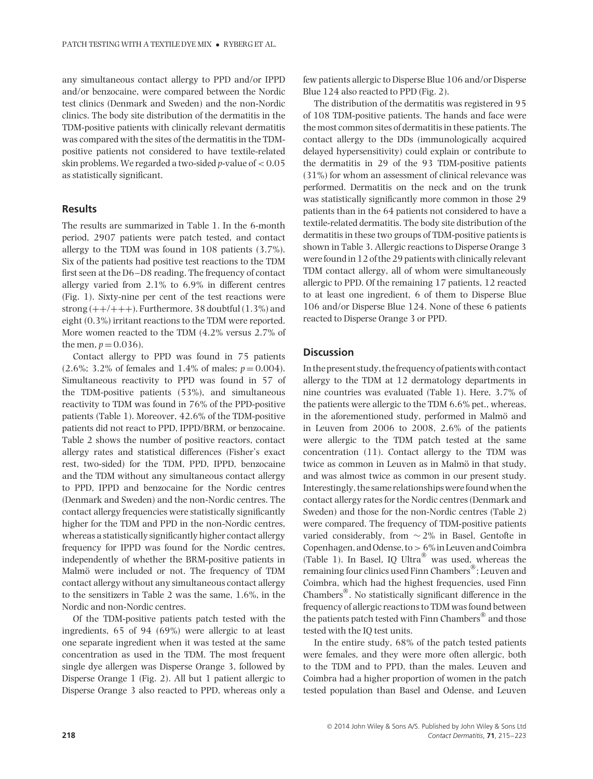any simultaneous contact allergy to PPD and/or IPPD and/or benzocaine, were compared between the Nordic test clinics (Denmark and Sweden) and the non-Nordic clinics. The body site distribution of the dermatitis in the TDM-positive patients with clinically relevant dermatitis was compared with the sites of the dermatitis in the TDMpositive patients not considered to have textile-related skin problems. We regarded a two-sided *p*-value of *<* 0.05 as statistically significant.

# **Results**

The results are summarized in Table 1. In the 6-month period, 2907 patients were patch tested, and contact allergy to the TDM was found in 108 patients (3.7%). Six of the patients had positive test reactions to the TDM first seen at the D6–D8 reading. The frequency of contact allergy varied from 2.1% to 6.9% in different centres (Fig. 1). Sixty-nine per cent of the test reactions were strong  $(++/+++)$ . Furthermore, 38 doubtful  $(1.3\%)$  and eight (0.3%) irritant reactions to the TDM were reported. More women reacted to the TDM (4.2% versus 2.7% of the men,  $p = 0.036$ ).

Contact allergy to PPD was found in 75 patients  $(2.6\%; 3.2\%$  of females and 1.4% of males;  $p = 0.004$ ). Simultaneous reactivity to PPD was found in 57 of the TDM-positive patients (53%), and simultaneous reactivity to TDM was found in 76% of the PPD-positive patients (Table 1). Moreover, 42.6% of the TDM-positive patients did not react to PPD, IPPD/BRM, or benzocaine. Table 2 shows the number of positive reactors, contact allergy rates and statistical differences (Fisher's exact rest, two-sided) for the TDM, PPD, IPPD, benzocaine and the TDM without any simultaneous contact allergy to PPD, IPPD and benzocaine for the Nordic centres (Denmark and Sweden) and the non-Nordic centres. The contact allergy frequencies were statistically significantly higher for the TDM and PPD in the non-Nordic centres, whereas a statistically significantly higher contact allergy frequency for IPPD was found for the Nordic centres, independently of whether the BRM-positive patients in Malmö were included or not. The frequency of TDM contact allergy without any simultaneous contact allergy to the sensitizers in Table 2 was the same, 1.6%, in the Nordic and non-Nordic centres.

Of the TDM-positive patients patch tested with the ingredients, 65 of 94 (69%) were allergic to at least one separate ingredient when it was tested at the same concentration as used in the TDM. The most frequent single dye allergen was Disperse Orange 3, followed by Disperse Orange 1 (Fig. 2). All but 1 patient allergic to Disperse Orange 3 also reacted to PPD, whereas only a few patients allergic to Disperse Blue 106 and/or Disperse Blue 124 also reacted to PPD (Fig. 2).

The distribution of the dermatitis was registered in 95 of 108 TDM-positive patients. The hands and face were the most common sites of dermatitis in these patients. The contact allergy to the DDs (immunologically acquired delayed hypersensitivity) could explain or contribute to the dermatitis in 29 of the 93 TDM-positive patients (31%) for whom an assessment of clinical relevance was performed. Dermatitis on the neck and on the trunk was statistically significantly more common in those 29 patients than in the 64 patients not considered to have a textile-related dermatitis. The body site distribution of the dermatitis in these two groups of TDM-positive patients is shown in Table 3. Allergic reactions to Disperse Orange 3 were found in 12 of the 29 patients with clinically relevant TDM contact allergy, all of whom were simultaneously allergic to PPD. Of the remaining 17 patients, 12 reacted to at least one ingredient, 6 of them to Disperse Blue 106 and/or Disperse Blue 124. None of these 6 patients reacted to Disperse Orange 3 or PPD.

#### **Discussion**

In the present study, the frequency of patients with contact allergy to the TDM at 12 dermatology departments in nine countries was evaluated (Table 1). Here, 3.7% of the patients were allergic to the TDM 6.6% pet., whereas, in the aforementioned study, performed in Malmö and in Leuven from 2006 to 2008, 2.6% of the patients were allergic to the TDM patch tested at the same concentration (11). Contact allergy to the TDM was twice as common in Leuven as in Malmö in that study, and was almost twice as common in our present study. Interestingly, the same relationships were found when the contact allergy rates for the Nordic centres (Denmark and Sweden) and those for the non-Nordic centres (Table 2) were compared. The frequency of TDM-positive patients varied considerably, from ∼ 2% in Basel, Gentofte in Copenhagen, and Odense, to*>* 6% in Leuven and Coimbra (Table 1). In Basel, IQ Ultra® was used, whereas the remaining four clinics used Finn Chambers®; Leuven and Coimbra, which had the highest frequencies, used Finn Chambers®. No statistically significant difference in the frequency of allergic reactions to TDM was found between the patients patch tested with Finn Chambers<sup>®</sup> and those tested with the IQ test units.

In the entire study, 68% of the patch tested patients were females, and they were more often allergic, both to the TDM and to PPD, than the males. Leuven and Coimbra had a higher proportion of women in the patch tested population than Basel and Odense, and Leuven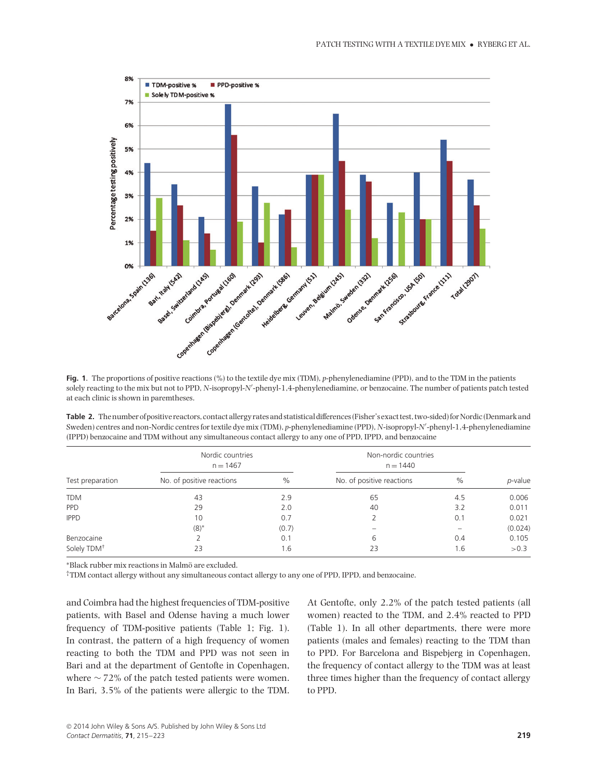

**Fig. 1**. The proportions of positive reactions (%) to the textile dye mix (TDM), *p*-phenylenediamine (PPD), and to the TDM in the patients solely reacting to the mix but not to PPD, *N*-isopropyl-*N'*-phenyl-1,4-phenylenediamine, or benzocaine. The number of patients patch tested at each clinic is shown in paremtheses.

**Table 2.** The number of positive reactors, contact allergy rates and statistical differences (Fisher's exact test, two-sided) for Nordic (Denmark and Sweden) centres and non-Nordic centres for textile dye mix (TDM), *p*-phenylenediamine (PPD), *N*-isopropyl-*N*- -phenyl-1,4-phenylenediamine (IPPD) benzocaine and TDM without any simultaneous contact allergy to any one of PPD, IPPD, and benzocaine

|                         | Nordic countries<br>$n = 1467$ |       | Non-nordic countries<br>$n = 1440$ |      |         |
|-------------------------|--------------------------------|-------|------------------------------------|------|---------|
| Test preparation        | No. of positive reactions      | $\%$  | No. of positive reactions          | $\%$ | p-value |
| <b>TDM</b>              | 43                             | 2.9   | 65                                 | 4.5  | 0.006   |
| <b>PPD</b>              | 29                             | 2.0   | 40                                 | 3.2  | 0.011   |
| <b>IPPD</b>             | 10                             | 0.7   |                                    | 0.1  | 0.021   |
|                         | $(8)^*$                        | (0.7) |                                    |      | (0.024) |
| Benzocaine              |                                | 0.1   | 6                                  | 0.4  | 0.105   |
| Solely TDM <sup>+</sup> | 23                             | 1.6   | 23                                 | 1.6  | >0.3    |

∗Black rubber mix reactions in Malmo are excluded. ¨

†TDM contact allergy without any simultaneous contact allergy to any one of PPD, IPPD, and benzocaine.

and Coimbra had the highest frequencies of TDM-positive patients, with Basel and Odense having a much lower frequency of TDM-positive patients (Table 1; Fig. 1). In contrast, the pattern of a high frequency of women reacting to both the TDM and PPD was not seen in Bari and at the department of Gentofte in Copenhagen, where ∼ 72% of the patch tested patients were women. In Bari, 3.5% of the patients were allergic to the TDM. At Gentofte, only 2.2% of the patch tested patients (all women) reacted to the TDM, and 2.4% reacted to PPD (Table 1). In all other departments, there were more patients (males and females) reacting to the TDM than to PPD. For Barcelona and Bispebjerg in Copenhagen, the frequency of contact allergy to the TDM was at least three times higher than the frequency of contact allergy to PPD.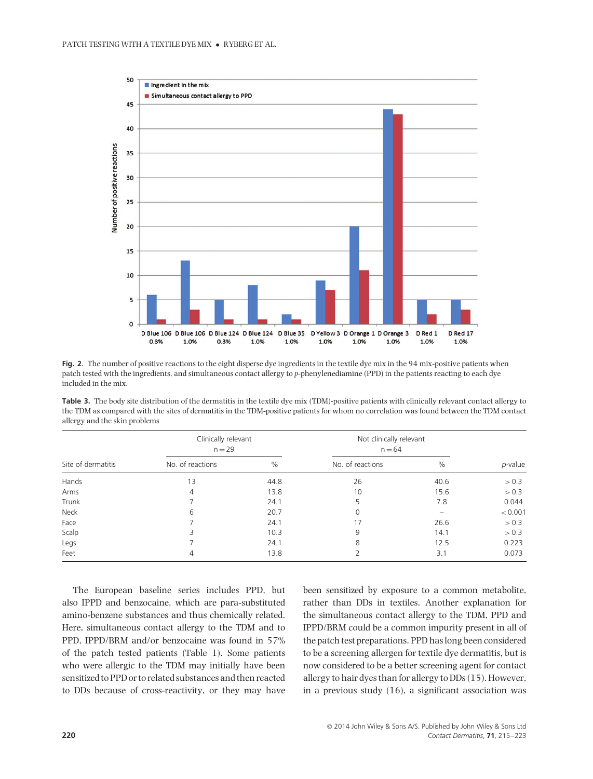

**Fig. 2**. The number of positive reactions to the eight disperse dye ingredients in the textile dye mix in the 94 mix-positive patients when patch tested with the ingredients, and simultaneous contact allergy to *p*-phenylenediamine (PPD) in the patients reacting to each dye included in the mix.

| Table 3. The body site distribution of the dermatitis in the textile dye mix (TDM)-positive patients with clinically relevant contact allergy to |
|--------------------------------------------------------------------------------------------------------------------------------------------------|
| the TDM as compared with the sites of dermatitis in the TDM-positive patients for whom no correlation was found between the TDM contact          |
| allergy and the skin problems                                                                                                                    |

|                    | Clinically relevant<br>$n = 29$ |      | Not clinically relevant<br>$n = 64$ |      | p-value |
|--------------------|---------------------------------|------|-------------------------------------|------|---------|
| Site of dermatitis | No. of reactions                | $\%$ | No. of reactions                    | $\%$ |         |
| Hands              | 13                              | 44.8 | 26                                  | 40.6 | > 0.3   |
| Arms               | 4                               | 13.8 | 10                                  | 15.6 | > 0.3   |
| Trunk              |                                 | 24.1 | 5                                   | 7.8  | 0.044   |
| Neck               | 6                               | 20.7 | 0                                   |      | < 0.001 |
| Face               |                                 | 24.1 | 17                                  | 26.6 | > 0.3   |
| Scalp              | 3                               | 10.3 | 9                                   | 14.1 | > 0.3   |
| Legs               |                                 | 24.1 | 8                                   | 12.5 | 0.223   |
| Feet               | 4                               | 13.8 |                                     | 3.1  | 0.073   |

The European baseline series includes PPD, but also IPPD and benzocaine, which are para-substituted amino-benzene substances and thus chemically related. Here, simultaneous contact allergy to the TDM and to PPD, IPPD/BRM and/or benzocaine was found in 57% of the patch tested patients (Table 1). Some patients who were allergic to the TDM may initially have been sensitized to PPD or to related substances and then reacted to DDs because of cross-reactivity, or they may have

been sensitized by exposure to a common metabolite, rather than DDs in textiles. Another explanation for the simultaneous contact allergy to the TDM, PPD and IPPD/BRM could be a common impurity present in all of the patch test preparations. PPD has long been considered to be a screening allergen for textile dye dermatitis, but is now considered to be a better screening agent for contact allergy to hair dyes than for allergy to DDs (15). However, in a previous study (16), a significant association was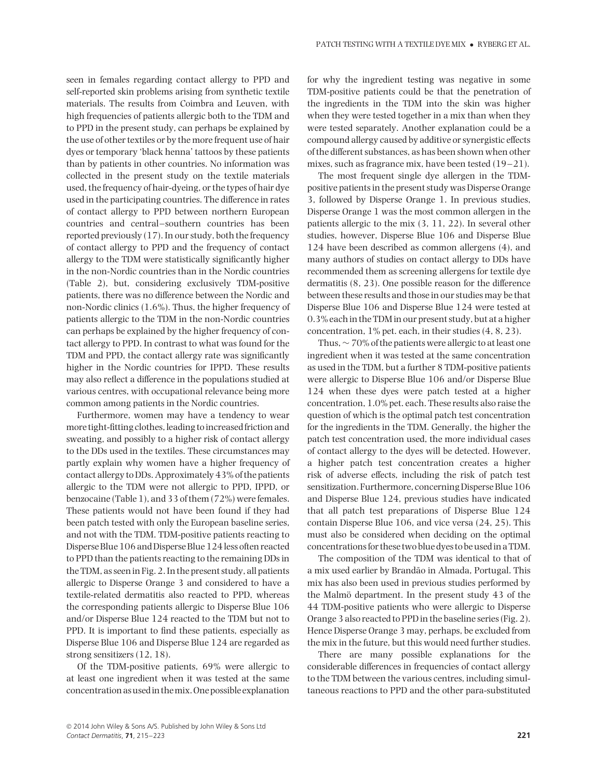seen in females regarding contact allergy to PPD and self-reported skin problems arising from synthetic textile materials. The results from Coimbra and Leuven, with high frequencies of patients allergic both to the TDM and to PPD in the present study, can perhaps be explained by the use of other textiles or by the more frequent use of hair dyes or temporary 'black henna' tattoos by these patients than by patients in other countries. No information was collected in the present study on the textile materials used, the frequency of hair-dyeing, or the types of hair dye used in the participating countries. The difference in rates of contact allergy to PPD between northern European countries and central–southern countries has been reported previously (17). In our study, both the frequency of contact allergy to PPD and the frequency of contact allergy to the TDM were statistically significantly higher in the non-Nordic countries than in the Nordic countries (Table 2), but, considering exclusively TDM-positive patients, there was no difference between the Nordic and non-Nordic clinics (1.6%). Thus, the higher frequency of patients allergic to the TDM in the non-Nordic countries can perhaps be explained by the higher frequency of contact allergy to PPD. In contrast to what was found for the TDM and PPD, the contact allergy rate was significantly higher in the Nordic countries for IPPD. These results may also reflect a difference in the populations studied at various centres, with occupational relevance being more common among patients in the Nordic countries.

Furthermore, women may have a tendency to wear more tight-fitting clothes, leading to increased friction and sweating, and possibly to a higher risk of contact allergy to the DDs used in the textiles. These circumstances may partly explain why women have a higher frequency of contact allergy to DDs. Approximately 43% of the patients allergic to the TDM were not allergic to PPD, IPPD, or benzocaine (Table 1), and 33 of them (72%) were females. These patients would not have been found if they had been patch tested with only the European baseline series, and not with the TDM. TDM-positive patients reacting to Disperse Blue 106 and Disperse Blue 124 less often reacted to PPD than the patients reacting to the remaining DDs in the TDM, as seen in Fig. 2. In the present study, all patients allergic to Disperse Orange 3 and considered to have a textile-related dermatitis also reacted to PPD, whereas the corresponding patients allergic to Disperse Blue 106 and/or Disperse Blue 124 reacted to the TDM but not to PPD. It is important to find these patients, especially as Disperse Blue 106 and Disperse Blue 124 are regarded as strong sensitizers (12, 18).

Of the TDM-positive patients, 69% were allergic to at least one ingredient when it was tested at the same concentration as used in the mix. One possible explanation for why the ingredient testing was negative in some TDM-positive patients could be that the penetration of the ingredients in the TDM into the skin was higher when they were tested together in a mix than when they were tested separately. Another explanation could be a compound allergy caused by additive or synergistic effects of the different substances, as has been shown when other mixes, such as fragrance mix, have been tested (19–21).

The most frequent single dye allergen in the TDMpositive patients in the present study was Disperse Orange 3, followed by Disperse Orange 1. In previous studies, Disperse Orange 1 was the most common allergen in the patients allergic to the mix (3, 11, 22). In several other studies, however, Disperse Blue 106 and Disperse Blue 124 have been described as common allergens (4), and many authors of studies on contact allergy to DDs have recommended them as screening allergens for textile dye dermatitis (8, 23). One possible reason for the difference between these results and those in our studies may be that Disperse Blue 106 and Disperse Blue 124 were tested at 0.3% each in the TDM in our present study, but at a higher concentration, 1% pet. each, in their studies (4, 8, 23).

Thus,∼ 70% of the patients were allergic to at least one ingredient when it was tested at the same concentration as used in the TDM, but a further 8 TDM-positive patients were allergic to Disperse Blue 106 and/or Disperse Blue 124 when these dyes were patch tested at a higher concentration, 1.0% pet. each. These results also raise the question of which is the optimal patch test concentration for the ingredients in the TDM. Generally, the higher the patch test concentration used, the more individual cases of contact allergy to the dyes will be detected. However, a higher patch test concentration creates a higher risk of adverse effects, including the risk of patch test sensitization. Furthermore, concerning Disperse Blue 106 and Disperse Blue 124, previous studies have indicated that all patch test preparations of Disperse Blue 124 contain Disperse Blue 106, and vice versa (24, 25). This must also be considered when deciding on the optimal concentrations for these two blue dyes to be used in a TDM.

The composition of the TDM was identical to that of a mix used earlier by Brandão in Almada, Portugal. This mix has also been used in previous studies performed by the Malmö department. In the present study  $43$  of the 44 TDM-positive patients who were allergic to Disperse Orange 3 also reacted to PPD in the baseline series (Fig. 2). Hence Disperse Orange 3 may, perhaps, be excluded from the mix in the future, but this would need further studies.

There are many possible explanations for the considerable differences in frequencies of contact allergy to the TDM between the various centres, including simultaneous reactions to PPD and the other para-substituted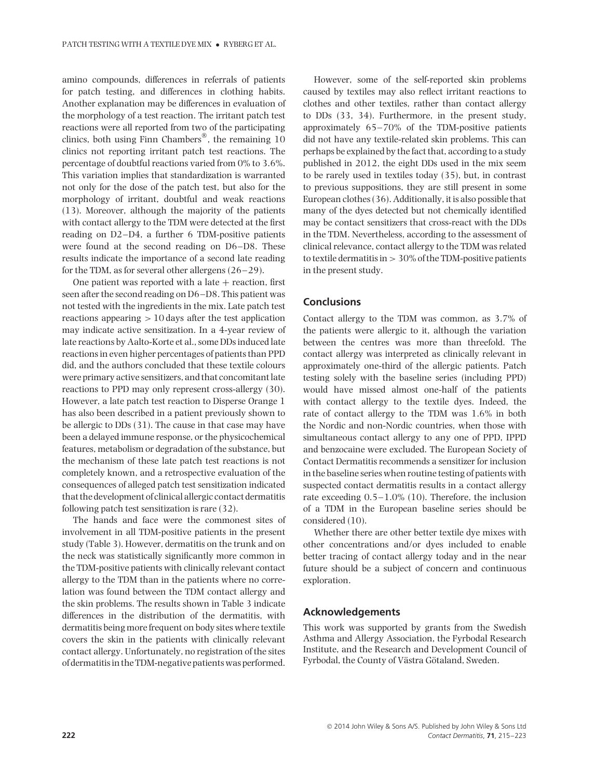amino compounds, differences in referrals of patients for patch testing, and differences in clothing habits. Another explanation may be differences in evaluation of the morphology of a test reaction. The irritant patch test reactions were all reported from two of the participating clinics, both using Finn Chambers<sup>®</sup>, the remaining 10 clinics not reporting irritant patch test reactions. The percentage of doubtful reactions varied from 0% to 3.6%. This variation implies that standardization is warranted not only for the dose of the patch test, but also for the morphology of irritant, doubtful and weak reactions (13). Moreover, although the majority of the patients with contact allergy to the TDM were detected at the first reading on D2–D4, a further 6 TDM-positive patients were found at the second reading on D6–D8. These results indicate the importance of a second late reading for the TDM, as for several other allergens (26–29).

One patient was reported with a late  $+$  reaction, first seen after the second reading on D6–D8. This patient was not tested with the ingredients in the mix. Late patch test reactions appearing *>* 10 days after the test application may indicate active sensitization. In a 4-year review of late reactions by Aalto-Korte et al., some DDs induced late reactions in even higher percentages of patients than PPD did, and the authors concluded that these textile colours were primary active sensitizers, and that concomitant late reactions to PPD may only represent cross-allergy (30). However, a late patch test reaction to Disperse Orange 1 has also been described in a patient previously shown to be allergic to DDs (31). The cause in that case may have been a delayed immune response, or the physicochemical features, metabolism or degradation of the substance, but the mechanism of these late patch test reactions is not completely known, and a retrospective evaluation of the consequences of alleged patch test sensitization indicated that the development of clinical allergic contact dermatitis following patch test sensitization is rare (32).

The hands and face were the commonest sites of involvement in all TDM-positive patients in the present study (Table 3). However, dermatitis on the trunk and on the neck was statistically significantly more common in the TDM-positive patients with clinically relevant contact allergy to the TDM than in the patients where no correlation was found between the TDM contact allergy and the skin problems. The results shown in Table 3 indicate differences in the distribution of the dermatitis, with dermatitis being more frequent on body sites where textile covers the skin in the patients with clinically relevant contact allergy. Unfortunately, no registration of the sites of dermatitis in the TDM-negative patients was performed.

However, some of the self-reported skin problems caused by textiles may also reflect irritant reactions to clothes and other textiles, rather than contact allergy to DDs (33, 34). Furthermore, in the present study, approximately 65–70% of the TDM-positive patients did not have any textile-related skin problems. This can perhaps be explained by the fact that, according to a study published in 2012, the eight DDs used in the mix seem to be rarely used in textiles today (35), but, in contrast to previous suppositions, they are still present in some European clothes (36). Additionally, it is also possible that many of the dyes detected but not chemically identified may be contact sensitizers that cross-react with the DDs in the TDM. Nevertheless, according to the assessment of clinical relevance, contact allergy to the TDM was related to textile dermatitis in *>* 30% of the TDM-positive patients in the present study.

# **Conclusions**

Contact allergy to the TDM was common, as 3.7% of the patients were allergic to it, although the variation between the centres was more than threefold. The contact allergy was interpreted as clinically relevant in approximately one-third of the allergic patients. Patch testing solely with the baseline series (including PPD) would have missed almost one-half of the patients with contact allergy to the textile dyes. Indeed, the rate of contact allergy to the TDM was 1.6% in both the Nordic and non-Nordic countries, when those with simultaneous contact allergy to any one of PPD, IPPD and benzocaine were excluded. The European Society of Contact Dermatitis recommends a sensitizer for inclusion in the baseline series when routine testing of patients with suspected contact dermatitis results in a contact allergy rate exceeding 0.5–1.0% (10). Therefore, the inclusion of a TDM in the European baseline series should be considered (10).

Whether there are other better textile dye mixes with other concentrations and/or dyes included to enable better tracing of contact allergy today and in the near future should be a subject of concern and continuous exploration.

#### **Acknowledgements**

This work was supported by grants from the Swedish Asthma and Allergy Association, the Fyrbodal Research Institute, and the Research and Development Council of Fyrbodal, the County of Västra Götaland, Sweden.